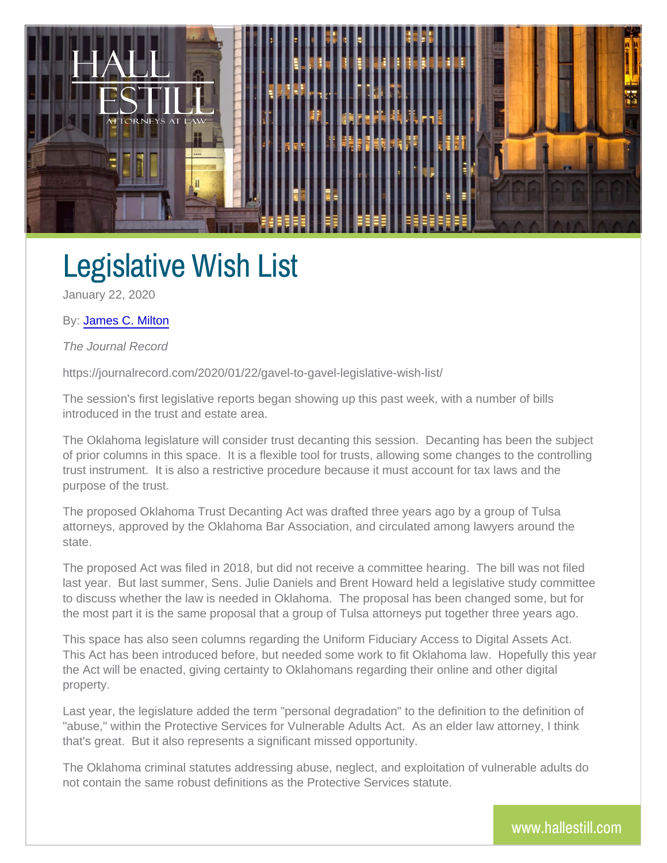## Legislative Wish List

January 22, 2020

## By[: James C.](http://www.hallestill.com/our-team/james-c-milton) Milton

The Journal Record

https://journalrecord.com/2020/01/22/gavel-to-gavel-legislative-wish-li

The session's first legislative reports began showing up this past wee introduced in the trust and estate area.

The Oklahoma legislature will consider trust decanting this session. I of prior columns in this space. It is a flexible tool for trusts, allowing trust instrument. It is also a restrictive procedure because it must ac purpose of the trust.

The proposed Oklahoma Trust Decanting Act was drafted three years a attorneys, approved by the Oklahoma Bar Association, and circulated a state.

The proposed Act was filed in 2018, but did not receive a committee h last year. But last summer, Sens. Julie Daniels and Brent Howard hel to discuss whether the law is needed in Oklahoma. The proposal has been changed some, but for  $\alpha$ the most part it is the same proposal that a group of Tulsa attorneys put

This space has also seen columns regarding the Uniform Fiduciary Acc This Act has been introduced before, but needed some work to fit Okla the Act will be enacted, giving certainty to Oklahomans regarding their property.

Last year, the legislature added the term "personal degradation" to the "abuse," within the Protective Services for Vulnerable Adults Act. |As that's great. But it also represents a significant missed opportunity.

The Oklahoma criminal statutes addressing abuse, neglect, and exploit not contain the same robust definitions as the Protective Services stat

www.halles